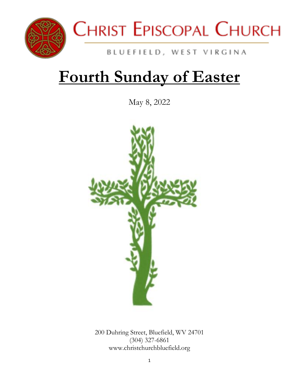

**CHRIST EPISCOPAL CHURCH** 

### BLUEFIELD, WEST VIRGINA

# **Fourth Sunday of Easter**

May 8, 2022



200 Duhring Street, Bluefield, WV 24701 (304) 327-6861 www.christchurchbluefield.org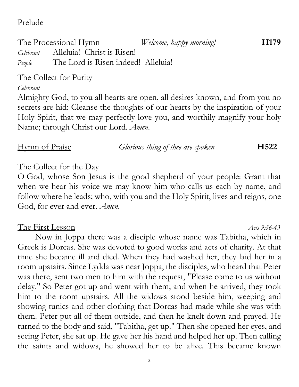#### Prelude

The Processional Hymn *Welcome, happy morning!* **H179** *Celebrant* Alleluia! Christ is Risen! *People* The Lord is Risen indeed! Alleluia!

# The Collect for Purity

#### *Celebrant*

Almighty God, to you all hearts are open, all desires known, and from you no secrets are hid: Cleanse the thoughts of our hearts by the inspiration of your Holy Spirit, that we may perfectly love you, and worthily magnify your holy Name; through Christ our Lord. *Amen.*

#### Hymn of Praise *Glorious thing of thee are spoken* **H522**

# The Collect for the Day

O God, whose Son Jesus is the good shepherd of your people: Grant that when we hear his voice we may know him who calls us each by name, and follow where he leads; who, with you and the Holy Spirit, lives and reigns, one God, for ever and ever. *Amen.*

# The First Lesson *Acts 9:36-43*

Now in Joppa there was a disciple whose name was Tabitha, which in Greek is Dorcas. She was devoted to good works and acts of charity. At that time she became ill and died. When they had washed her, they laid her in a room upstairs. Since Lydda was near Joppa, the disciples, who heard that Peter was there, sent two men to him with the request, "Please come to us without delay." So Peter got up and went with them; and when he arrived, they took him to the room upstairs. All the widows stood beside him, weeping and showing tunics and other clothing that Dorcas had made while she was with them. Peter put all of them outside, and then he knelt down and prayed. He turned to the body and said, "Tabitha, get up." Then she opened her eyes, and seeing Peter, she sat up. He gave her his hand and helped her up. Then calling the saints and widows, he showed her to be alive. This became known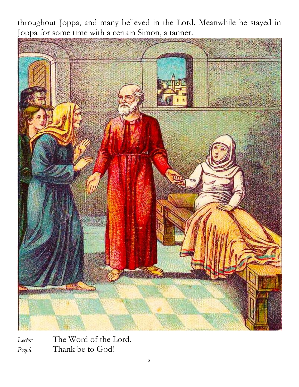throughout Joppa, and many believed in the Lord. Meanwhile he stayed in Joppa for some time with a certain Simon, a tanner.



*Lector* The Word of the Lord. *People* Thank be to God!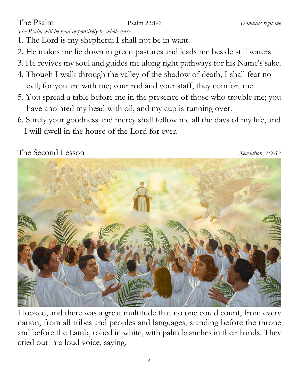The Psalm Psalm 23:1-6 *Dominus regit me The Psalm will be read responsively by whole verse*

- 1. The Lord is my shepherd; I shall not be in want.
- 2. He makes me lie down in green pastures and leads me beside still waters.
- 3. He revives my soul and guides me along right pathways for his Name's sake.
- 4. Though I walk through the valley of the shadow of death, I shall fear no evil; for you are with me; your rod and your staff, they comfort me.
- 5. You spread a table before me in the presence of those who trouble me; you have anointed my head with oil, and my cup is running over.
- 6. Surely your goodness and mercy shall follow me all the days of my life, and I will dwell in the house of the Lord for ever.

# The Second Lesson*Revelation 7:9-17*



and before the Lamb, robed in white, with palm branches in their hands. They cried out in a loud voice, saying,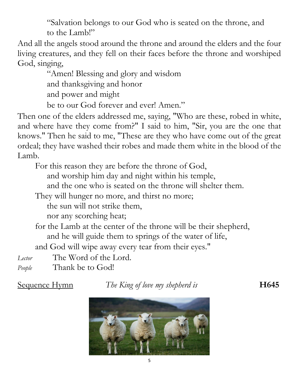"Salvation belongs to our God who is seated on the throne, and to the Lamb!"

And all the angels stood around the throne and around the elders and the four living creatures, and they fell on their faces before the throne and worshiped God, singing,

> "Amen! Blessing and glory and wisdom and thanksgiving and honor

and power and might

be to our God forever and ever! Amen."

Then one of the elders addressed me, saying, "Who are these, robed in white, and where have they come from?" I said to him, "Sir, you are the one that knows." Then he said to me, "These are they who have come out of the great ordeal; they have washed their robes and made them white in the blood of the Lamb.

For this reason they are before the throne of God,

and worship him day and night within his temple,

and the one who is seated on the throne will shelter them.

They will hunger no more, and thirst no more;

the sun will not strike them,

nor any scorching heat;

for the Lamb at the center of the throne will be their shepherd, and he will guide them to springs of the water of life,

and God will wipe away every tear from their eyes."

- *Lector* The Word of the Lord.
- *People* Thank be to God!

Sequence Hymn *The King of love my shepherd is* **H645**

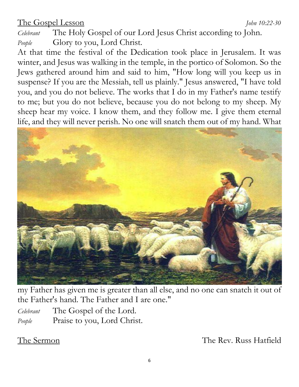# The Gospel Lesson *John 10:22-30*

*Celebrant* The Holy Gospel of our Lord Jesus Christ according to John. *People* Glory to you, Lord Christ.

At that time the festival of the Dedication took place in Jerusalem. It was winter, and Jesus was walking in the temple, in the portico of Solomon. So the Jews gathered around him and said to him, "How long will you keep us in suspense? If you are the Messiah, tell us plainly." Jesus answered, "I have told you, and you do not believe. The works that I do in my Father's name testify to me; but you do not believe, because you do not belong to my sheep. My sheep hear my voice. I know them, and they follow me. I give them eternal life, and they will never perish. No one will snatch them out of my hand. What



my Father has given me is greater than all else, and no one can snatch it out of the Father's hand. The Father and I are one."

| Celebrant | The Gospel of the Lord.     |
|-----------|-----------------------------|
| People    | Praise to you, Lord Christ. |

The Sermon The Rev. Russ Hatfield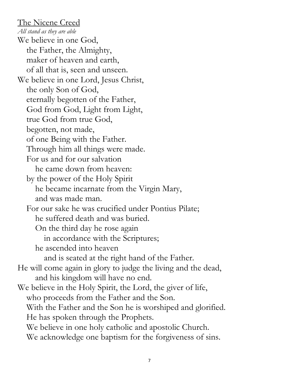The Nicene Creed *All stand as they are able*  We believe in one God, the Father, the Almighty, maker of heaven and earth, of all that is, seen and unseen. We believe in one Lord, Jesus Christ, the only Son of God, eternally begotten of the Father, God from God, Light from Light, true God from true God, begotten, not made, of one Being with the Father. Through him all things were made. For us and for our salvation he came down from heaven: by the power of the Holy Spirit he became incarnate from the Virgin Mary, and was made man. For our sake he was crucified under Pontius Pilate; he suffered death and was buried. On the third day he rose again in accordance with the Scriptures; he ascended into heaven and is seated at the right hand of the Father. He will come again in glory to judge the living and the dead, and his kingdom will have no end. We believe in the Holy Spirit, the Lord, the giver of life, who proceeds from the Father and the Son. With the Father and the Son he is worshiped and glorified. He has spoken through the Prophets. We believe in one holy catholic and apostolic Church. We acknowledge one baptism for the forgiveness of sins.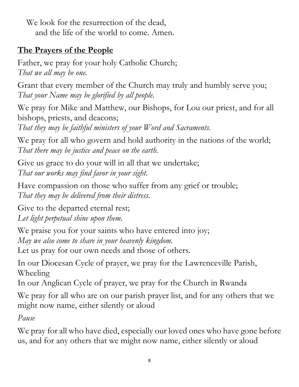We look for the resurrection of the dead, and the life of the world to come. Amen.

# **The Prayers of the People**

Father, we pray for your holy Catholic Church; *That we all may be one.*

Grant that every member of the Church may truly and humbly serve you; *That your Name may be glorified by all people.*

We pray for Mike and Matthew, our Bishops, for Lou our priest, and for all bishops, priests, and deacons;

*That they may be faithful ministers of your Word and Sacraments.*

We pray for all who govern and hold authority in the nations of the world; *That there may be justice and peace on the earth.*

Give us grace to do your will in all that we undertake; *That our works may find favor in your sight.*

Have compassion on those who suffer from any grief or trouble; *That they may be delivered from their distress.*

Give to the departed eternal rest; *Let light perpetual shine upon them.*

We praise you for your saints who have entered into joy; *May we also come to share in your heavenly kingdom.* Let us pray for our own needs and those of others.

In our Diocesan Cycle of prayer, we pray for the Lawrenceville Parish, Wheeling

In our Anglican Cycle of prayer, we pray for the Church in Rwanda

We pray for all who are on our parish prayer list, and for any others that we might now name, either silently or aloud

*Pause*

We pray for all who have died, especially our loved ones who have gone before us, and for any others that we might now name, either silently or aloud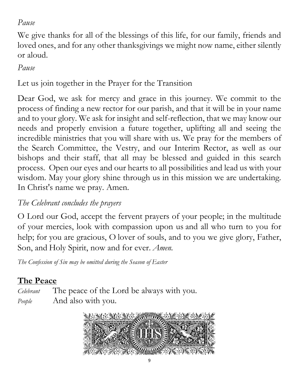# *Pause*

We give thanks for all of the blessings of this life, for our family, friends and loved ones, and for any other thanksgivings we might now name, either silently or aloud.

# *Pause*

Let us join together in the Prayer for the Transition

Dear God, we ask for mercy and grace in this journey. We commit to the process of finding a new rector for our parish, and that it will be in your name and to your glory. We ask for insight and self-reflection, that we may know our needs and properly envision a future together, uplifting all and seeing the incredible ministries that you will share with us. We pray for the members of the Search Committee, the Vestry, and our Interim Rector, as well as our bishops and their staff, that all may be blessed and guided in this search process. Open our eyes and our hearts to all possibilities and lead us with your wisdom. May your glory shine through us in this mission we are undertaking. In Christ's name we pray. Amen.

# *The Celebrant concludes the prayers*

O Lord our God, accept the fervent prayers of your people; in the multitude of your mercies, look with compassion upon us and all who turn to you for help; for you are gracious, O lover of souls, and to you we give glory, Father, Son, and Holy Spirit, now and for ever. *Amen.*

*The Confession of Sin may be omitted during the Season of Easter*

# **The Peace**

*Celebrant* The peace of the Lord be always with you. *People* And also with you.

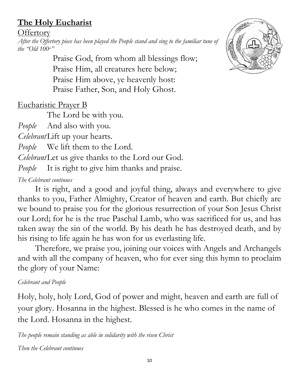# **The Holy Eucharist**

### **Offertory**

*After the Offertory piece has been played the People stand and sing to the familiar tune of the "Old 100th"*

> Praise God, from whom all blessings flow; Praise Him, all creatures here below; Praise Him above, ye heavenly host: Praise Father, Son, and Holy Ghost.

# Eucharistic Prayer B

The Lord be with you.

*People* And also with you.

*Celebrant*Lift up your hearts.

*People* We lift them to the Lord.

*Celebrant*Let us give thanks to the Lord our God.

*People* It is right to give him thanks and praise.

# *The Celebrant continues*

It is right, and a good and joyful thing, always and everywhere to give thanks to you, Father Almighty, Creator of heaven and earth. But chiefly are we bound to praise you for the glorious resurrection of your Son Jesus Christ our Lord; for he is the true Paschal Lamb, who was sacrificed for us, and has taken away the sin of the world. By his death he has destroyed death, and by his rising to life again he has won for us everlasting life.

Therefore, we praise you, joining our voices with Angels and Archangels and with all the company of heaven, who for ever sing this hymn to proclaim the glory of your Name:

#### *Celebrant and People*

Holy, holy, holy Lord, God of power and might, heaven and earth are full of your glory. Hosanna in the highest. Blessed is he who comes in the name of the Lord. Hosanna in the highest.

*The people remain standing as able in solidarity with the risen Christ*

*Then the Celebrant continues*

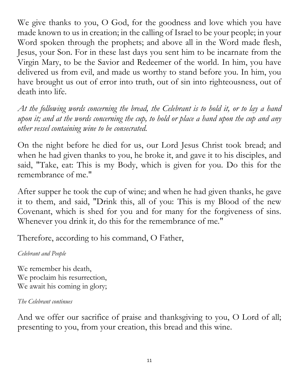We give thanks to you, O God, for the goodness and love which you have made known to us in creation; in the calling of Israel to be your people; in your Word spoken through the prophets; and above all in the Word made flesh, Jesus, your Son. For in these last days you sent him to be incarnate from the Virgin Mary, to be the Savior and Redeemer of the world. In him, you have delivered us from evil, and made us worthy to stand before you. In him, you have brought us out of error into truth, out of sin into righteousness, out of death into life.

*At the following words concerning the bread, the Celebrant is to hold it, or to lay a hand upon it; and at the words concerning the cup, to hold or place a hand upon the cup and any other vessel containing wine to be consecrated.*

On the night before he died for us, our Lord Jesus Christ took bread; and when he had given thanks to you, he broke it, and gave it to his disciples, and said, "Take, eat: This is my Body, which is given for you. Do this for the remembrance of me."

After supper he took the cup of wine; and when he had given thanks, he gave it to them, and said, "Drink this, all of you: This is my Blood of the new Covenant, which is shed for you and for many for the forgiveness of sins. Whenever you drink it, do this for the remembrance of me."

Therefore, according to his command, O Father,

#### *Celebrant and People*

We remember his death, We proclaim his resurrection, We await his coming in glory;

#### *The Celebrant continues*

And we offer our sacrifice of praise and thanksgiving to you, O Lord of all; presenting to you, from your creation, this bread and this wine.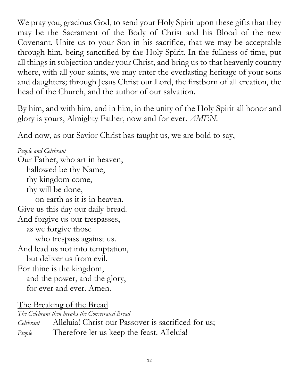We pray you, gracious God, to send your Holy Spirit upon these gifts that they may be the Sacrament of the Body of Christ and his Blood of the new Covenant. Unite us to your Son in his sacrifice, that we may be acceptable through him, being sanctified by the Holy Spirit. In the fullness of time, put all things in subjection under your Christ, and bring us to that heavenly country where, with all your saints, we may enter the everlasting heritage of your sons and daughters; through Jesus Christ our Lord, the firstborn of all creation, the head of the Church, and the author of our salvation.

By him, and with him, and in him, in the unity of the Holy Spirit all honor and glory is yours, Almighty Father, now and for ever. *AMEN.*

And now, as our Savior Christ has taught us, we are bold to say,

*People and Celebrant* Our Father, who art in heaven, hallowed be thy Name, thy kingdom come, thy will be done, on earth as it is in heaven. Give us this day our daily bread. And forgive us our trespasses, as we forgive those who trespass against us. And lead us not into temptation, but deliver us from evil. For thine is the kingdom, and the power, and the glory, for ever and ever. Amen.

# The Breaking of the Bread

*The Celebrant then breaks the Consecrated Bread Celebrant* Alleluia! Christ our Passover is sacrificed for us; *People* Therefore let us keep the feast. Alleluia!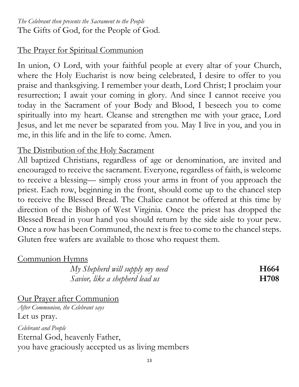# The Prayer for Spiritual Communion

In union, O Lord, with your faithful people at every altar of your Church, where the Holy Eucharist is now being celebrated, I desire to offer to you praise and thanksgiving. I remember your death, Lord Christ; I proclaim your resurrection; I await your coming in glory. And since I cannot receive you today in the Sacrament of your Body and Blood, I beseech you to come spiritually into my heart. Cleanse and strengthen me with your grace, Lord Jesus, and let me never be separated from you. May I live in you, and you in me, in this life and in the life to come. Amen.

# The Distribution of the Holy Sacrament

All baptized Christians, regardless of age or denomination, are invited and encouraged to receive the sacrament. Everyone, regardless of faith, is welcome to receive a blessing— simply cross your arms in front of you approach the priest. Each row, beginning in the front, should come up to the chancel step to receive the Blessed Bread. The Chalice cannot be offered at this time by direction of the Bishop of West Virginia. Once the priest has dropped the Blessed Bread in your hand you should return by the side aisle to your pew. Once a row has been Communed, the next is free to come to the chancel steps. Gluten free wafers are available to those who request them.

# Communion Hymns

*My Shepherd will supply my need* **H664** *Savior, like a shepherd lead us* **H708**

Our Prayer after Communion *After Communion, the Celebrant says* Let us pray. *Celebrant and People* Eternal God, heavenly Father,

you have graciously accepted us as living members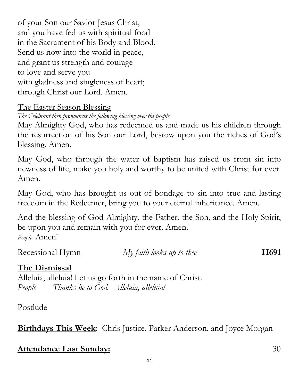of your Son our Savior Jesus Christ, and you have fed us with spiritual food in the Sacrament of his Body and Blood. Send us now into the world in peace, and grant us strength and courage to love and serve you with gladness and singleness of heart; through Christ our Lord. Amen.

### The Easter Season Blessing

#### *The Celebrant then pronounces the following blessing over the people*

May Almighty God, who has redeemed us and made us his children through the resurrection of his Son our Lord, bestow upon you the riches of God's blessing. Amen.

May God, who through the water of baptism has raised us from sin into newness of life, make you holy and worthy to be united with Christ for ever. Amen.

May God, who has brought us out of bondage to sin into true and lasting freedom in the Redeemer, bring you to your eternal inheritance. Amen.

And the blessing of God Almighty, the Father, the Son, and the Holy Spirit, be upon you and remain with you for ever. Amen. *People* Amen!

| Recessional Hymn | $M_{\mathcal{V}}$ faith looks up to thee | H <sub>691</sub> |
|------------------|------------------------------------------|------------------|
|                  |                                          |                  |

# **The Dismissal**

Alleluia, alleluia! Let us go forth in the name of Christ. *People Thanks be to God. Alleluia, alleluia!*

Postlude

**Birthdays This Week:** Chris Justice, Parker Anderson, and Joyce Morgan

# **Attendance Last Sunday:** 30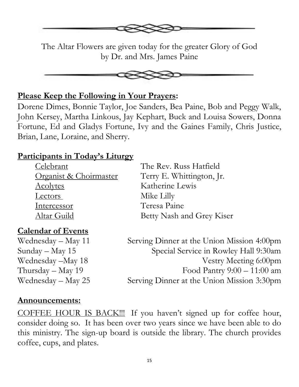

The Altar Flowers are given today for the greater Glory of God by Dr. and Mrs. James Paine



### **Please Keep the Following in Your Prayers:**

Dorene Dimes, Bonnie Taylor, Joe Sanders, Bea Paine, Bob and Peggy Walk, John Kersey, Martha Linkous, Jay Kephart, Buck and Louisa Sowers, Donna Fortune, Ed and Gladys Fortune, Ivy and the Gaines Family, Chris Justice, Brian, Lane, Loraine, and Sherry.

# **Participants in Today's Liturgy**

Celebrant The Rev. Russ Hatfield Acolytes Katherine Lewis Lectors Mike Lilly Intercessor Teresa Paine

# **Calendar of Events**

Organist & Choirmaster Terry E. Whittington, Jr. Altar Guild Betty Nash and Grey Kiser

Wednesday – May 11 Serving Dinner at the Union Mission 4:00pm Sunday – May 15 Special Service in Rowley Hall 9:30am Wednesday –May 18 Vestry Meeting 6:00pm  $Thursday - May 19$  Food Pantry  $9:00 - 11:00$  am Wednesday – May 25 Serving Dinner at the Union Mission 3:30pm

#### **Announcements:**

COFFEE HOUR IS BACK!!! If you haven't signed up for coffee hour, consider doing so. It has been over two years since we have been able to do this ministry. The sign-up board is outside the library. The church provides coffee, cups, and plates.